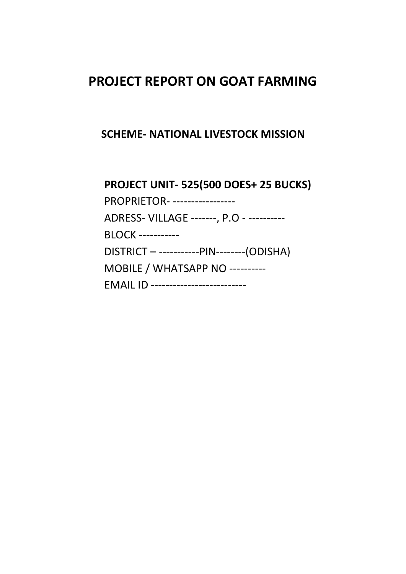# PROJECT REPORT ON GOAT FARMING

## SCHEME- NATIONAL LIVESTOCK MISSION

PROJECT UNIT- 525(500 DOES+ 25 BUCKS) PROPRIETOR- -----------------

ADRESS- VILLAGE -------, P.O - ----------

BLOCK -----------

DISTRICT – -----------PIN--------(ODISHA)

MOBILE / WHATSAPP NO ----------

| <b>EMAIL ID</b><br>____________________________ |  |
|-------------------------------------------------|--|
|-------------------------------------------------|--|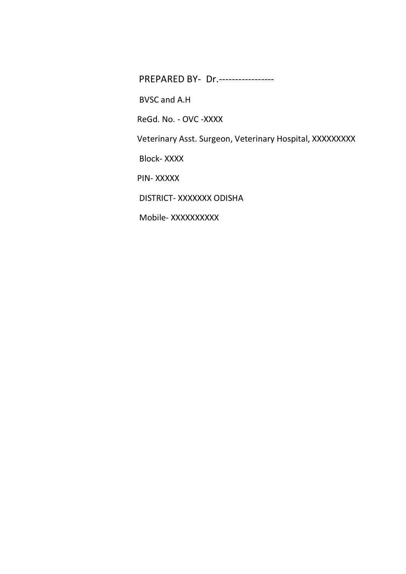PREPARED BY- Dr.-----------------

BVSC and A.H

ReGd. No. - OVC -XXXX

Veterinary Asst. Surgeon, Veterinary Hospital, XXXXXXXXX

Block- XXXX

PIN- XXXXX

DISTRICT- XXXXXXX ODISHA

Mobile- XXXXXXXXX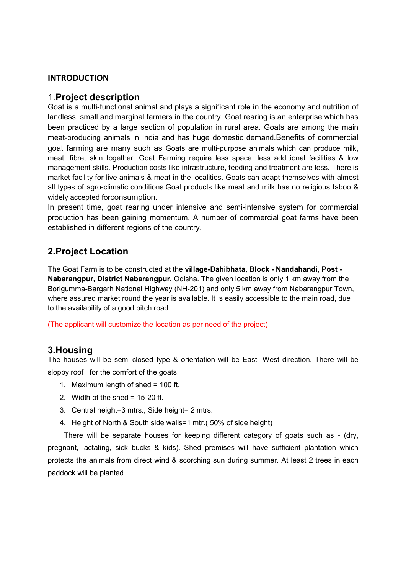#### INTRODUCTION

#### 1.Project description

Goat is a multi-functional animal and plays a significant role in the economy and nutrition of landless, small and marginal farmers in the country. Goat rearing is an enterprise which has been practiced by a large section of population in rural area. Goats are among the main meat-producing animals in India and has huge domestic demand.Benefits of commercial goat farming are many such as Goats are multi-purpose animals which can produce milk, meat, fibre, skin together. Goat Farming require less space, less additional facilities & low management skills. Production costs like infrastructure, feeding and treatment are less. There is market facility for live animals & meat in the localities. Goats can adapt themselves with almost all types of agro-climatic conditions.Goat products like meat and milk has no religious taboo & widely accepted forconsumption.

In present time, goat rearing under intensive and semi-intensive system for commercial production has been gaining momentum. A number of commercial goat farms have been established in different regions of the country.

## 2.Project Location

The Goat Farm is to be constructed at the village-Dahibhata, Block - Nandahandi, Post - Nabarangpur, District Nabarangpur, Odisha. The given location is only 1 km away from the Borigumma-Bargarh National Highway (NH-201) and only 5 km away from Nabarangpur Town, where assured market round the year is available. It is easily accessible to the main road, due to the availability of a good pitch road.

(The applicant will customize the location as per need of the project)

### 3.Housing

The houses will be semi-closed type & orientation will be East- West direction. There will be sloppy roof for the comfort of the goats.

- 1. Maximum length of shed = 100 ft.
- 2. Width of the shed  $= 15-20$  ft.
- 3. Central height=3 mtrs., Side height= 2 mtrs.
- 4. Height of North & South side walls=1 mtr.( 50% of side height)

 There will be separate houses for keeping different category of goats such as - (dry, pregnant, lactating, sick bucks & kids). Shed premises will have sufficient plantation which protects the animals from direct wind & scorching sun during summer. At least 2 trees in each paddock will be planted.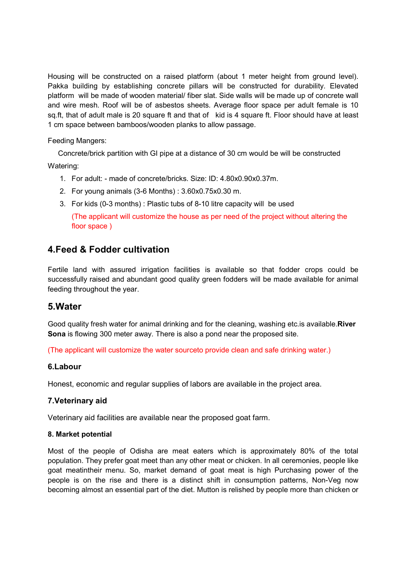Housing will be constructed on a raised platform (about 1 meter height from ground level). Pakka building by establishing concrete pillars will be constructed for durability. Elevated platform will be made of wooden material/ fiber slat. Side walls will be made up of concrete wall and wire mesh. Roof will be of asbestos sheets. Average floor space per adult female is 10 sq.ft, that of adult male is 20 square ft and that of kid is 4 square ft. Floor should have at least 1 cm space between bamboos/wooden planks to allow passage.

#### Feeding Mangers:

 Concrete/brick partition with GI pipe at a distance of 30 cm would be will be constructed Watering:

- 1. For adult: made of concrete/bricks. Size: ID: 4.80x0.90x0.37m.
- 2. For young animals (3-6 Months) : 3.60x0.75x0.30 m.
- 3. For kids (0-3 months) : Plastic tubs of 8-10 litre capacity will be used

(The applicant will customize the house as per need of the project without altering the floor space )

## 4.Feed & Fodder cultivation

Fertile land with assured irrigation facilities is available so that fodder crops could be successfully raised and abundant good quality green fodders will be made available for animal feeding throughout the year.

### 5.Water

Good quality fresh water for animal drinking and for the cleaning, washing etc.is available.River Sona is flowing 300 meter away. There is also a pond near the proposed site.

(The applicant will customize the water sourceto provide clean and safe drinking water.)

#### 6.Labour

Honest, economic and regular supplies of labors are available in the project area.

#### 7.Veterinary aid

Veterinary aid facilities are available near the proposed goat farm.

#### 8. Market potential

Most of the people of Odisha are meat eaters which is approximately 80% of the total population. They prefer goat meet than any other meat or chicken. In all ceremonies, people like goat meatintheir menu. So, market demand of goat meat is high Purchasing power of the people is on the rise and there is a distinct shift in consumption patterns, Non-Veg now becoming almost an essential part of the diet. Mutton is relished by people more than chicken or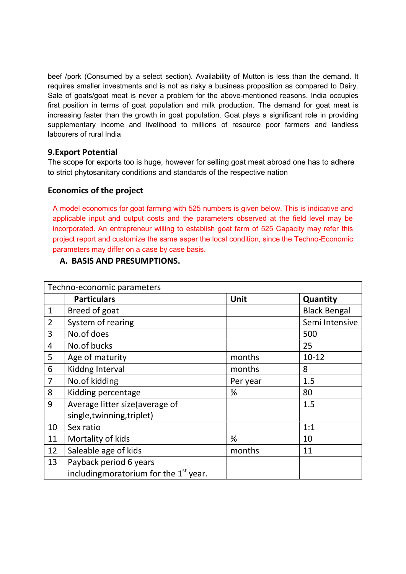beef /pork (Consumed by a select section). Availability of Mutton is less than the demand. It requires smaller investments and is not as risky a business proposition as compared to Dairy. Sale of goats/goat meat is never a problem for the above-mentioned reasons. India occupies first position in terms of goat population and milk production. The demand for goat meat is increasing faster than the growth in goat population. Goat plays a significant role in providing supplementary income and livelihood to millions of resource poor farmers and landless labourers of rural India

#### 9.Export Potential

The scope for exports too is huge, however for selling goat meat abroad one has to adhere to strict phytosanitary conditions and standards of the respective nation

### Economics of the project

A model economics for goat farming with 525 numbers is given below. This is indicative and applicable input and output costs and the parameters observed at the field level may be incorporated. An entrepreneur willing to establish goat farm of 525 Capacity may refer this project report and customize the same asper the local condition, since the Techno-Economic parameters may differ on a case by case basis.

#### A. BASIS AND PRESUMPTIONS.

|                | Techno-economic parameters               |          |                     |  |  |  |  |  |
|----------------|------------------------------------------|----------|---------------------|--|--|--|--|--|
|                | <b>Particulars</b>                       | Unit     | Quantity            |  |  |  |  |  |
| $\mathbf{1}$   | Breed of goat                            |          | <b>Black Bengal</b> |  |  |  |  |  |
| $\overline{2}$ | System of rearing                        |          | Semi Intensive      |  |  |  |  |  |
| 3              | No.of does                               |          | 500                 |  |  |  |  |  |
| 4              | No.of bucks                              |          | 25                  |  |  |  |  |  |
| 5              | Age of maturity                          | months   | $10 - 12$           |  |  |  |  |  |
| 6              | Kiddng Interval                          | months   | 8                   |  |  |  |  |  |
| $\overline{7}$ | No.of kidding                            | Per year | 1.5                 |  |  |  |  |  |
| 8              | Kidding percentage                       | %        | 80                  |  |  |  |  |  |
| 9              | Average litter size(average of           |          | 1.5                 |  |  |  |  |  |
|                | single, twinning, triplet)               |          |                     |  |  |  |  |  |
| 10             | Sex ratio                                |          | 1:1                 |  |  |  |  |  |
| 11             | Mortality of kids                        | %        | 10                  |  |  |  |  |  |
| 12             | Saleable age of kids                     | months   | 11                  |  |  |  |  |  |
| 13             | Payback period 6 years                   |          |                     |  |  |  |  |  |
|                | including moratorium for the $1st$ year. |          |                     |  |  |  |  |  |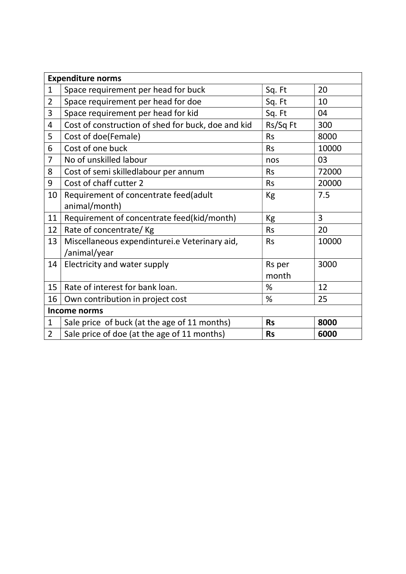| <b>Expenditure norms</b> |                                                    |           |                |  |  |  |  |  |
|--------------------------|----------------------------------------------------|-----------|----------------|--|--|--|--|--|
| $\mathbf{1}$             | Space requirement per head for buck                | Sq. Ft    | 20             |  |  |  |  |  |
| $\overline{2}$           | Space requirement per head for doe                 | Sq. Ft    | 10             |  |  |  |  |  |
| 3                        | Space requirement per head for kid                 | Sq. Ft    | 04             |  |  |  |  |  |
| 4                        | Cost of construction of shed for buck, doe and kid | Rs/Sq Ft  | 300            |  |  |  |  |  |
| 5                        | Cost of doe(Female)                                | <b>Rs</b> | 8000           |  |  |  |  |  |
| 6                        | Cost of one buck                                   | <b>Rs</b> | 10000          |  |  |  |  |  |
| $\overline{7}$           | No of unskilled labour                             | nos       | 03             |  |  |  |  |  |
| 8                        | Cost of semi skilledlabour per annum               | <b>Rs</b> | 72000          |  |  |  |  |  |
| 9                        | Cost of chaff cutter 2                             | <b>Rs</b> | 20000          |  |  |  |  |  |
| 10                       | Requirement of concentrate feed(adult              | <b>Kg</b> | 7.5            |  |  |  |  |  |
|                          | animal/month)                                      |           |                |  |  |  |  |  |
| 11                       | Requirement of concentrate feed(kid/month)         | Kg        | $\overline{3}$ |  |  |  |  |  |
| 12                       | Rate of concentrate/Kg                             | <b>Rs</b> | 20             |  |  |  |  |  |
| 13                       | Miscellaneous expendinturei.e Veterinary aid,      | <b>Rs</b> | 10000          |  |  |  |  |  |
|                          | /animal/year                                       |           |                |  |  |  |  |  |
| 14                       | Electricity and water supply                       | Rs per    | 3000           |  |  |  |  |  |
|                          |                                                    | month     |                |  |  |  |  |  |
| 15                       | Rate of interest for bank loan.                    | %         | 12             |  |  |  |  |  |
| 16                       | Own contribution in project cost                   | %         | 25             |  |  |  |  |  |
| <b>Income norms</b>      |                                                    |           |                |  |  |  |  |  |
| $\mathbf{1}$             | Sale price of buck (at the age of 11 months)       | <b>Rs</b> | 8000           |  |  |  |  |  |
| $\overline{2}$           | Sale price of doe (at the age of 11 months)        | <b>Rs</b> | 6000           |  |  |  |  |  |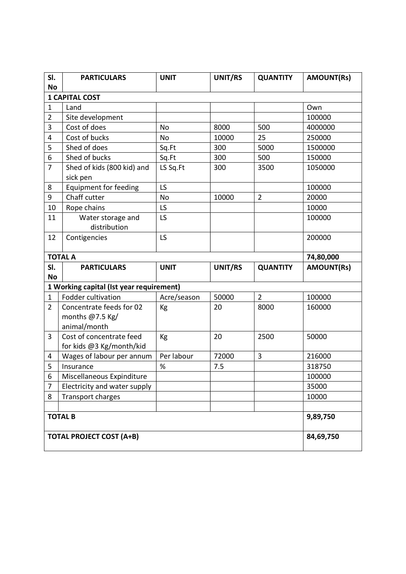| SI.                   | <b>PARTICULARS</b>                                          | <b>UNIT</b> | UNIT/RS | <b>QUANTITY</b> | <b>AMOUNT(Rs)</b> |  |  |  |  |
|-----------------------|-------------------------------------------------------------|-------------|---------|-----------------|-------------------|--|--|--|--|
|                       | <b>No</b>                                                   |             |         |                 |                   |  |  |  |  |
| <b>1 CAPITAL COST</b> |                                                             |             |         |                 |                   |  |  |  |  |
| $\mathbf{1}$          | Land                                                        |             |         |                 | Own               |  |  |  |  |
| $\overline{2}$        | Site development                                            |             |         |                 | 100000            |  |  |  |  |
| 3                     | Cost of does                                                | No          | 8000    | 500             | 4000000           |  |  |  |  |
| 4                     | Cost of bucks                                               | No          | 10000   | 25              | 250000            |  |  |  |  |
| 5                     | Shed of does                                                | Sq.Ft       | 300     | 5000            | 1500000           |  |  |  |  |
| 6                     | Shed of bucks                                               | Sq.Ft       | 300     | 500             | 150000            |  |  |  |  |
| $\overline{7}$        | Shed of kids (800 kid) and<br>sick pen                      | LS Sq.Ft    | 300     | 3500            | 1050000           |  |  |  |  |
| 8                     | Equipment for feeding                                       | LS          |         |                 | 100000            |  |  |  |  |
| 9                     | Chaff cutter                                                | No          | 10000   | $\overline{2}$  | 20000             |  |  |  |  |
| 10                    | Rope chains                                                 | LS          |         |                 | 10000             |  |  |  |  |
| 11                    | Water storage and<br>distribution                           | LS          |         |                 | 100000            |  |  |  |  |
| 12                    | Contigencies                                                | LS          |         |                 | 200000            |  |  |  |  |
|                       | <b>TOTAL A</b>                                              |             |         |                 | 74,80,000         |  |  |  |  |
| SI.                   | <b>PARTICULARS</b>                                          | <b>UNIT</b> | UNIT/RS | <b>QUANTITY</b> | <b>AMOUNT(Rs)</b> |  |  |  |  |
| <b>No</b>             |                                                             |             |         |                 |                   |  |  |  |  |
|                       | 1 Working capital (Ist year requirement)                    |             |         |                 |                   |  |  |  |  |
| $\mathbf{1}$          | <b>Fodder cultivation</b>                                   | Acre/season | 50000   | $\overline{2}$  | 100000            |  |  |  |  |
| $\overline{2}$        | Concentrate feeds for 02<br>months @7.5 Kg/<br>animal/month | Kg          | 20      | 8000            | 160000            |  |  |  |  |
| 3                     | Cost of concentrate feed<br>for kids @3 Kg/month/kid        | Kg          | 20      | 2500            | 50000             |  |  |  |  |
| 4                     | Wages of labour per annum                                   | Per labour  | 72000   | 3               | 216000            |  |  |  |  |
| 5                     | Insurance                                                   | $\%$        | 7.5     |                 | 318750            |  |  |  |  |
| 6                     | Miscellaneous Expinditure                                   |             |         |                 | 100000            |  |  |  |  |
| $\overline{7}$        | Electricity and water supply                                |             |         |                 | 35000             |  |  |  |  |
| 8                     | <b>Transport charges</b>                                    |             |         |                 | 10000             |  |  |  |  |
|                       |                                                             |             |         |                 |                   |  |  |  |  |
| <b>TOTAL B</b>        | 9,89,750                                                    |             |         |                 |                   |  |  |  |  |
|                       | <b>TOTAL PROJECT COST (A+B)</b>                             |             |         |                 | 84,69,750         |  |  |  |  |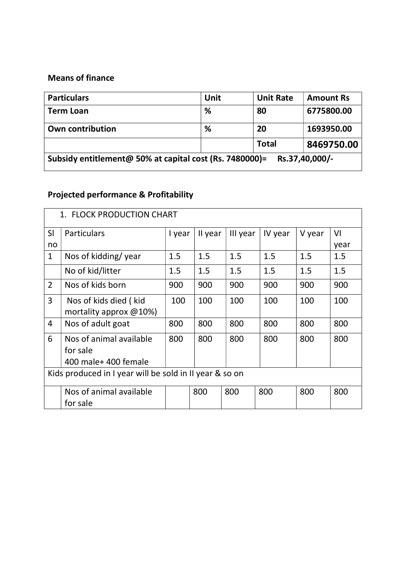## Means of finance

| <b>Particulars</b>                                                        | Unit | <b>Unit Rate</b> | <b>Amount Rs</b> |  |  |  |  |  |
|---------------------------------------------------------------------------|------|------------------|------------------|--|--|--|--|--|
| <b>Term Loan</b>                                                          | %    | 80               | 6775800.00       |  |  |  |  |  |
| <b>Own contribution</b>                                                   | %    | 20               | 1693950.00       |  |  |  |  |  |
|                                                                           |      | <b>Total</b>     | 8469750.00       |  |  |  |  |  |
| Subsidy entitlement@ 50% at capital cost (Rs. 7480000)=<br>Rs.37,40,000/- |      |                  |                  |  |  |  |  |  |

# Projected performance & Profitability

| 1. FLOCK PRODUCTION CHART                               |                            |                                 |         |          |         |        |      |  |  |
|---------------------------------------------------------|----------------------------|---------------------------------|---------|----------|---------|--------|------|--|--|
| SI                                                      | Particulars                | I year                          | II year | III year | IV year | V year | VI   |  |  |
| no                                                      |                            |                                 |         |          |         |        | year |  |  |
| $\mathbf{1}$                                            | Nos of kidding/year        | 1.5                             | 1.5     | 1.5      | 1.5     | 1.5    | 1.5  |  |  |
|                                                         | No of kid/litter           | 1.5                             | 1.5     | 1.5      | 1.5     | 1.5    | 1.5  |  |  |
| $\overline{2}$                                          | Nos of kids born           | 900                             | 900     | 900      | 900     | 900    | 900  |  |  |
| 3                                                       | Nos of kids died (kid      | 100                             | 100     | 100      | 100     | 100    | 100  |  |  |
|                                                         | mortality approx $@10\%$ ) |                                 |         |          |         |        |      |  |  |
| $\overline{4}$                                          | Nos of adult goat          | 800                             | 800     | 800      | 800     | 800    | 800  |  |  |
| 6                                                       | Nos of animal available    | 800                             | 800     | 800      | 800     | 800    | 800  |  |  |
|                                                         | for sale                   |                                 |         |          |         |        |      |  |  |
|                                                         | 400 male+ 400 female       |                                 |         |          |         |        |      |  |  |
| Kids produced in I year will be sold in II year & so on |                            |                                 |         |          |         |        |      |  |  |
|                                                         | Nos of animal available    | 800<br>800<br>800<br>800<br>800 |         |          |         |        |      |  |  |
|                                                         | for sale                   |                                 |         |          |         |        |      |  |  |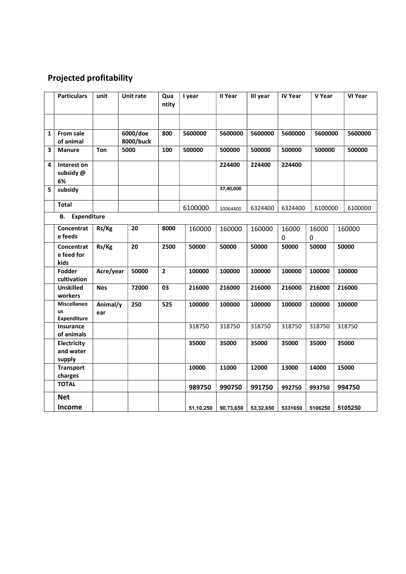## Projected profitability

|   | <b>Particulars</b>                             | unit            | <b>Unit rate</b>      | Qua<br>ntity            | I year    | II Year   | III year  | <b>IV Year</b>     | V Year             | <b>VI Year</b> |         |  |
|---|------------------------------------------------|-----------------|-----------------------|-------------------------|-----------|-----------|-----------|--------------------|--------------------|----------------|---------|--|
| 1 | <b>From sale</b><br>of animal                  |                 | 6000/doe<br>8000/buck | 800                     | 5600000   | 5600000   | 5600000   | 5600000            | 5600000            |                | 5600000 |  |
| 3 | <b>Manure</b>                                  | Ton             | 5000                  | 100                     | 500000    | 500000    | 500000    | 500000             | 500000             |                | 500000  |  |
| 4 | Interest on<br>subsidy @<br>6%                 |                 |                       |                         |           | 224400    | 224400    | 224400             |                    |                |         |  |
| 5 | subsidy                                        |                 |                       |                         |           | 37,40,000 |           |                    |                    |                |         |  |
|   | Total                                          |                 |                       |                         | 6100000   | 10064400  | 6324400   | 6324400            | 6100000            |                | 6100000 |  |
|   | Expenditure<br>В.                              |                 |                       |                         |           |           |           |                    |                    |                |         |  |
|   | Concentrat<br>e feeds                          | Rs/Kg           | 20                    | 8000                    | 160000    | 160000    | 160000    | 16000<br>$\pmb{0}$ | 16000<br>$\pmb{0}$ |                | 160000  |  |
|   | Concentrat<br>e feed for<br>kids               | Rs/Kg           | 20                    | 2500                    | 50000     | 50000     | 50000     | 50000              | 50000              |                | 50000   |  |
|   | Fodder<br>cultivation                          | Acre/year       | 50000                 | $\overline{\mathbf{c}}$ | 100000    | 100000    | 100000    | 100000             | 100000             |                | 100000  |  |
|   | <b>Unskilled</b><br>workers                    | <b>Nos</b>      | 72000                 | 03                      | 216000    | 216000    | 216000    | 216000             | 216000             |                | 216000  |  |
|   | <b>Miscellaneo</b><br>us<br><b>Expenditure</b> | Animal/y<br>ear | 250                   | 525                     | 100000    | 100000    | 100000    | 100000             | 100000             | 100000         |         |  |
|   | Insurance<br>of animals                        |                 |                       |                         | 318750    | 318750    | 318750    | 318750             | 318750             | 318750         |         |  |
|   | Electricity<br>and water<br>supply             |                 |                       |                         | 35000     | 35000     | 35000     | 35000              | 35000              | 35000          |         |  |
|   | <b>Transport</b><br>charges                    |                 |                       |                         | 10000     | 11000     | 12000     | 13000              | 14000              | 15000          |         |  |
|   | <b>TOTAL</b>                                   |                 |                       |                         | 989750    | 990750    | 991750    | 992750             | 993750             |                | 994750  |  |
|   | <b>Net</b>                                     |                 |                       |                         |           |           |           |                    |                    |                |         |  |
|   | Income                                         |                 |                       |                         | 51,10,250 | 90,73,650 | 53,32,650 | 5331650            | 5106250            |                | 5105250 |  |